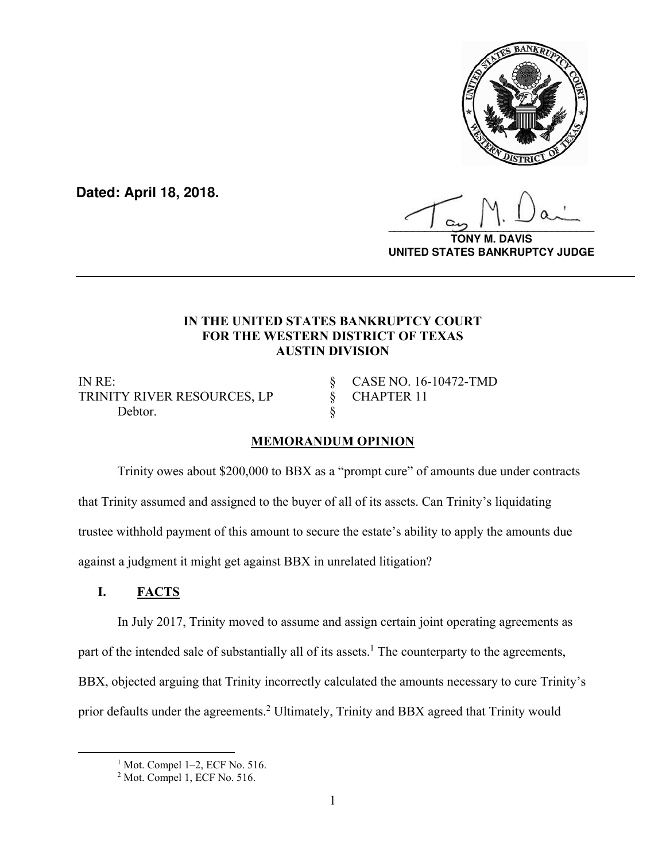

**Dated: April 18, 2018.**

**\_\_\_\_\_\_\_\_\_\_\_\_\_\_\_\_\_\_\_\_\_\_\_\_\_\_\_\_\_\_\_\_\_\_**

**VIS UNITED STATES BANKRUPTCY JUDGE**

### **IN THE UNITED STATES BANKRUPTCY COURT FOR THE WESTERN DISTRICT OF TEXAS AUSTIN DIVISION**

**\_\_\_\_\_\_\_\_\_\_\_\_\_\_\_\_\_\_\_\_\_\_\_\_\_\_\_\_\_\_\_\_\_\_\_\_\_\_\_\_\_\_\_\_\_\_\_\_\_\_\_\_\_\_\_\_\_\_\_\_\_\_\_\_\_\_**

IN RE: § CASE NO. 16-10472-TMD TRINITY RIVER RESOURCES, LP § CHAPTER 11 Debtor.

# **MEMORANDUM OPINION**

 Trinity owes about \$200,000 to BBX as a "prompt cure" of amounts due under contracts that Trinity assumed and assigned to the buyer of all of its assets. Can Trinity's liquidating trustee withhold payment of this amount to secure the estate's ability to apply the amounts due against a judgment it might get against BBX in unrelated litigation?

# **I. FACTS**

In July 2017, Trinity moved to assume and assign certain joint operating agreements as part of the intended sale of substantially all of its assets.<sup>1</sup> The counterparty to the agreements, BBX, objected arguing that Trinity incorrectly calculated the amounts necessary to cure Trinity's prior defaults under the agreements.<sup>2</sup> Ultimately, Trinity and BBX agreed that Trinity would

 $\begin{array}{c|c}\n\hline\n\text{1}\n\end{array}$  $<sup>1</sup>$  Mot. Compel 1–2, ECF No. 516.</sup>

<sup>2</sup> Mot. Compel 1, ECF No. 516.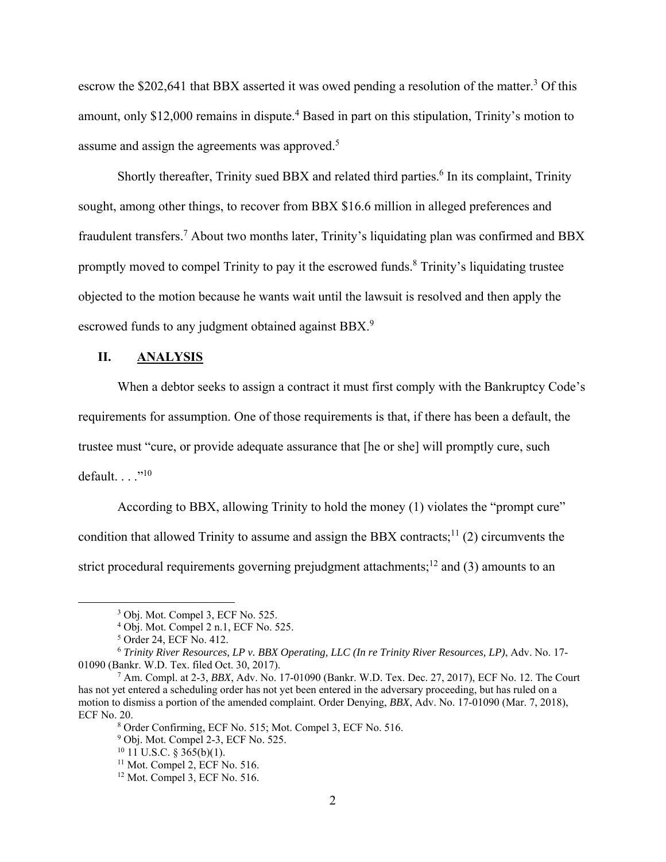escrow the \$202,641 that BBX asserted it was owed pending a resolution of the matter.<sup>3</sup> Of this amount, only \$12,000 remains in dispute.<sup>4</sup> Based in part on this stipulation, Trinity's motion to assume and assign the agreements was approved.<sup>5</sup>

Shortly thereafter, Trinity sued BBX and related third parties.<sup>6</sup> In its complaint, Trinity sought, among other things, to recover from BBX \$16.6 million in alleged preferences and fraudulent transfers.<sup>7</sup> About two months later, Trinity's liquidating plan was confirmed and BBX promptly moved to compel Trinity to pay it the escrowed funds.<sup>8</sup> Trinity's liquidating trustee objected to the motion because he wants wait until the lawsuit is resolved and then apply the escrowed funds to any judgment obtained against BBX.<sup>9</sup>

#### **II. ANALYSIS**

When a debtor seeks to assign a contract it must first comply with the Bankruptcy Code's requirements for assumption. One of those requirements is that, if there has been a default, the trustee must "cure, or provide adequate assurance that [he or she] will promptly cure, such default.  $\ldots$ ."10

According to BBX, allowing Trinity to hold the money (1) violates the "prompt cure" condition that allowed Trinity to assume and assign the BBX contracts;<sup>11</sup> (2) circumvents the strict procedural requirements governing prejudgment attachments;<sup>12</sup> and (3) amounts to an

 <sup>3</sup> <sup>3</sup> Obj. Mot. Compel 3, ECF No. 525.

<sup>4</sup> Obj. Mot. Compel 2 n.1, ECF No. 525.

<sup>5</sup> Order 24, ECF No. 412.

<sup>6</sup> *Trinity River Resources, LP v. BBX Operating, LLC (In re Trinity River Resources, LP)*, Adv. No. 17- 01090 (Bankr. W.D. Tex. filed Oct. 30, 2017).

<sup>7</sup> Am. Compl. at 2-3, *BBX*, Adv. No. 17-01090 (Bankr. W.D. Tex. Dec. 27, 2017), ECF No. 12. The Court has not yet entered a scheduling order has not yet been entered in the adversary proceeding, but has ruled on a motion to dismiss a portion of the amended complaint. Order Denying, *BBX*, Adv. No. 17-01090 (Mar. 7, 2018), ECF No. 20.

<sup>8</sup> Order Confirming, ECF No. 515; Mot. Compel 3, ECF No. 516.

<sup>&</sup>lt;sup>9</sup> Obj. Mot. Compel 2-3, ECF No. 525.

 $10$  11 U.S.C. § 365(b)(1).

<sup>11</sup> Mot. Compel 2, ECF No. 516.

<sup>12</sup> Mot. Compel 3, ECF No. 516.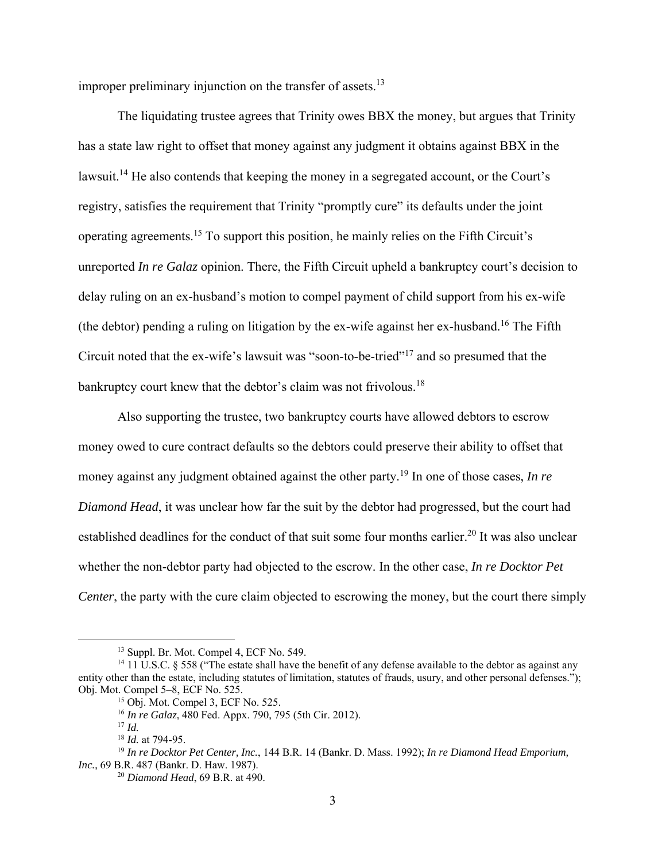improper preliminary injunction on the transfer of assets. $13$ 

The liquidating trustee agrees that Trinity owes BBX the money, but argues that Trinity has a state law right to offset that money against any judgment it obtains against BBX in the lawsuit.<sup>14</sup> He also contends that keeping the money in a segregated account, or the Court's registry, satisfies the requirement that Trinity "promptly cure" its defaults under the joint operating agreements.15 To support this position, he mainly relies on the Fifth Circuit's unreported *In re Galaz* opinion. There, the Fifth Circuit upheld a bankruptcy court's decision to delay ruling on an ex-husband's motion to compel payment of child support from his ex-wife (the debtor) pending a ruling on litigation by the ex-wife against her ex-husband.<sup>16</sup> The Fifth Circuit noted that the ex-wife's lawsuit was "soon-to-be-tried"17 and so presumed that the bankruptcy court knew that the debtor's claim was not frivolous.<sup>18</sup>

Also supporting the trustee, two bankruptcy courts have allowed debtors to escrow money owed to cure contract defaults so the debtors could preserve their ability to offset that money against any judgment obtained against the other party.<sup>19</sup> In one of those cases, *In re Diamond Head*, it was unclear how far the suit by the debtor had progressed, but the court had established deadlines for the conduct of that suit some four months earlier.<sup>20</sup> It was also unclear whether the non-debtor party had objected to the escrow. In the other case, *In re Docktor Pet Center*, the party with the cure claim objected to escrowing the money, but the court there simply

 <sup>13</sup> Suppl. Br. Mot. Compel 4, ECF No. 549.

<sup>&</sup>lt;sup>14</sup> 11 U.S.C. § 558 ("The estate shall have the benefit of any defense available to the debtor as against any entity other than the estate, including statutes of limitation, statutes of frauds, usury, and other personal defenses."); Obj. Mot. Compel 5–8, ECF No. 525.

<sup>15</sup> Obj. Mot. Compel 3, ECF No. 525.

<sup>16</sup> *In re Galaz*, 480 Fed. Appx. 790, 795 (5th Cir. 2012).

<sup>17</sup> *Id.*

<sup>18</sup> *Id.* at 794-95.

<sup>19</sup> *In re Docktor Pet Center, Inc.*, 144 B.R. 14 (Bankr. D. Mass. 1992); *In re Diamond Head Emporium, Inc.*, 69 B.R. 487 (Bankr. D. Haw. 1987).

<sup>20</sup> *Diamond Head*, 69 B.R. at 490.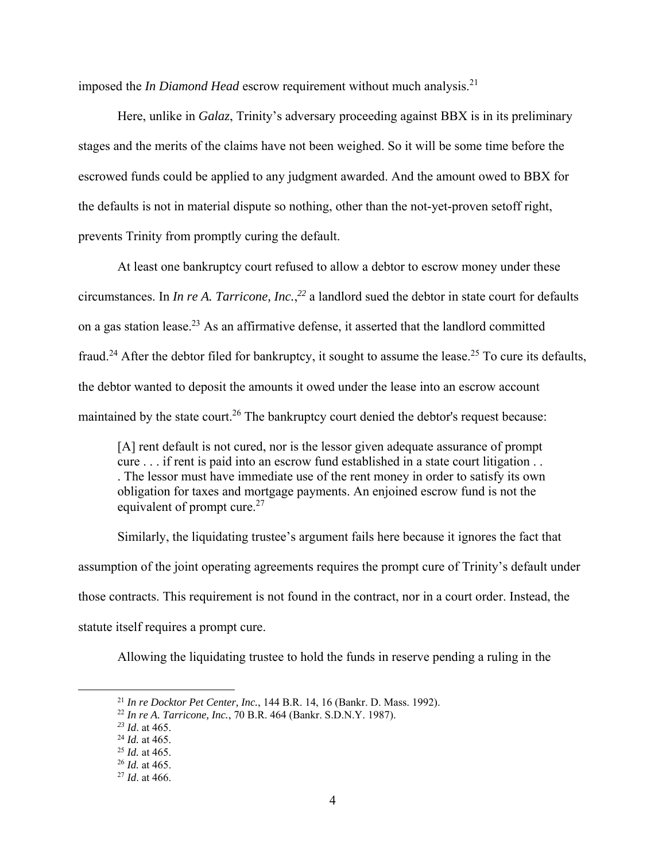imposed the *In Diamond Head* escrow requirement without much analysis.<sup>21</sup>

Here, unlike in *Galaz*, Trinity's adversary proceeding against BBX is in its preliminary stages and the merits of the claims have not been weighed. So it will be some time before the escrowed funds could be applied to any judgment awarded. And the amount owed to BBX for the defaults is not in material dispute so nothing, other than the not-yet-proven setoff right, prevents Trinity from promptly curing the default.

At least one bankruptcy court refused to allow a debtor to escrow money under these circumstances. In *In re A. Tarricone, Inc.*, *<sup>22</sup>* a landlord sued the debtor in state court for defaults on a gas station lease.<sup>23</sup> As an affirmative defense, it asserted that the landlord committed fraud.24 After the debtor filed for bankruptcy, it sought to assume the lease.25 To cure its defaults, the debtor wanted to deposit the amounts it owed under the lease into an escrow account maintained by the state court.<sup>26</sup> The bankruptcy court denied the debtor's request because:

[A] rent default is not cured, nor is the lessor given adequate assurance of prompt cure . . . if rent is paid into an escrow fund established in a state court litigation . . . The lessor must have immediate use of the rent money in order to satisfy its own obligation for taxes and mortgage payments. An enjoined escrow fund is not the equivalent of prompt cure.<sup>27</sup>

Similarly, the liquidating trustee's argument fails here because it ignores the fact that assumption of the joint operating agreements requires the prompt cure of Trinity's default under those contracts. This requirement is not found in the contract, nor in a court order. Instead, the statute itself requires a prompt cure.

Allowing the liquidating trustee to hold the funds in reserve pending a ruling in the

<sup>21</sup> *In re Docktor Pet Center, Inc.*, 144 B.R. 14, 16 (Bankr. D. Mass. 1992). 22 *In re A. Tarricone, Inc.*, 70 B.R. 464 (Bankr. S.D.N.Y. 1987).

*<sup>23</sup> Id*. at 465. 24 *Id.* at 465.

<sup>25</sup> *Id.* at 465.

<sup>26</sup> *Id.* at 465.

<sup>27</sup> *Id*. at 466.